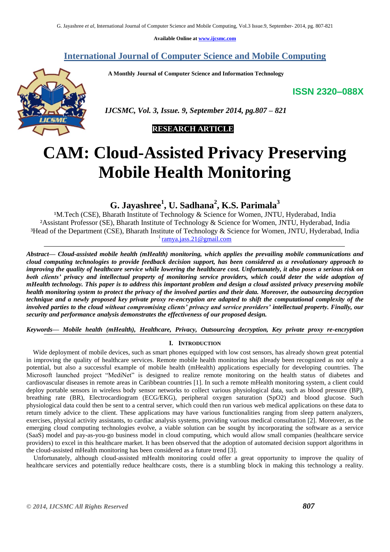**Available Online at [www.ijcsmc.com](http://www.ijcsmc.com/)**

## **International Journal of Computer Science and Mobile Computing**

 **A Monthly Journal of Computer Science and Information Technology**

**ISSN 2320–088X**



 *IJCSMC, Vol. 3, Issue. 9, September 2014, pg.807 – 821*

# **RESEARCH ARTICLE**

# **CAM: Cloud-Assisted Privacy Preserving Mobile Health Monitoring**

**G. Jayashree<sup>1</sup> , U. Sadhana<sup>2</sup> , K.S. Parimala<sup>3</sup>**

<sup>1</sup>M.Tech (CSE), Bharath Institute of Technology & Science for Women, JNTU, Hyderabad, India ²Assistant Professor (SE), Bharath Institute of Technology & Science for Women, JNTU, Hyderabad, India ³Head of the Department (CSE), Bharath Institute of Technology & Science for Women, JNTU, Hyderabad, India 1 [ramya.jass.21@gmail.com](mailto:ramya.jass.21@gmail.com)

*Abstract— Cloud-assisted mobile health (mHealth) monitoring, which applies the prevailing mobile communications and cloud computing technologies to provide feedback decision support, has been considered as a revolutionary approach to improving the quality of healthcare service while lowering the healthcare cost. Unfortunately, it also poses a serious risk on both clients' privacy and intellectual property of monitoring service providers, which could deter the wide adoption of mHealth technology. This paper is to address this important problem and design a cloud assisted privacy preserving mobile health monitoring system to protect the privacy of the involved parties and their data. Moreover, the outsourcing decryption technique and a newly proposed key private proxy re-encryption are adapted to shift the computational complexity of the involved parties to the cloud without compromising clients' privacy and service providers' intellectual property. Finally, our security and performance analysis demonstrates the effectiveness of our proposed design.*

*Keywords— Mobile health (mHealth), Healthcare, Privacy, Outsourcing decryption, Key private proxy re-encryption*

## **I. INTRODUCTION**

 Wide deployment of mobile devices, such as smart phones equipped with low cost sensors, has already shown great potential in improving the quality of healthcare services. Remote mobile health monitoring has already been recognized as not only a potential, but also a successful example of mobile health (mHealth) applications especially for developing countries. The Microsoft launched project "MediNet" is designed to realize remote monitoring on the health status of diabetes and cardiovascular diseases in remote areas in Caribbean countries [1]. In such a remote mHealth monitoring system, a client could deploy portable sensors in wireless body sensor networks to collect various physiological data, such as blood pressure (BP), breathing rate (BR), Electrocardiogram (ECG/EKG), peripheral oxygen saturation (SpO2) and blood glucose. Such physiological data could then be sent to a central server, which could then run various web medical applications on these data to return timely advice to the client. These applications may have various functionalities ranging from sleep pattern analyzers, exercises, physical activity assistants, to cardiac analysis systems, providing various medical consultation [2]. Moreover, as the emerging cloud computing technologies evolve, a viable solution can be sought by incorporating the software as a service (SaaS) model and pay-as-you-go business model in cloud computing, which would allow small companies (healthcare service providers) to excel in this healthcare market. It has been observed that the adoption of automated decision support algorithms in the cloud-assisted mHealth monitoring has been considered as a future trend [3].

 Unfortunately, although cloud-assisted mHealth monitoring could offer a great opportunity to improve the quality of healthcare services and potentially reduce healthcare costs, there is a stumbling block in making this technology a reality.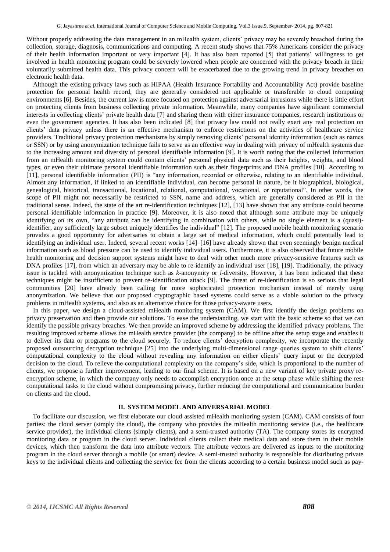Without properly addressing the data management in an mHealth system, clients' privacy may be severely breached during the collection, storage, diagnosis, communications and computing. A recent study shows that 75% Americans consider the privacy of their health information important or very important [4]. It has also been reported [5] that patients' willingness to get involved in health monitoring program could be severely lowered when people are concerned with the privacy breach in their voluntarily submitted health data. This privacy concern will be exacerbated due to the growing trend in privacy breaches on electronic health data.

 Although the existing privacy laws such as HIPAA (Health Insurance Portability and Accountability Act) provide baseline protection for personal health record, they are generally considered not applicable or transferable to cloud computing environments [6]. Besides, the current law is more focused on protection against adversarial intrusions while there is little effort on protecting clients from business collecting private information. Meanwhile, many companies have significant commercial interests in collecting clients' private health data [7] and sharing them with either insurance companies, research institutions or even the government agencies. It has also been indicated [8] that privacy law could not really exert any real protection on clients' data privacy unless there is an effective mechanism to enforce restrictions on the activities of healthcare service providers. Traditional privacy protection mechanisms by simply removing clients' personal identity information (such as names or SSN) or by using anonymization technique fails to serve as an effective way in dealing with privacy of mHealth systems due to the increasing amount and diversity of personal identifiable information [9]. It is worth noting that the collected information from an mHealth monitoring system could contain clients' personal physical data such as their heights, weights, and blood types, or even their ultimate personal identifiable information such as their fingerprints and DNA profiles [10]. According to [11], personal identifiable information (PII) is "any information, recorded or otherwise, relating to an identifiable individual. Almost any information, if linked to an identifiable individual, can become personal in nature, be it biographical, biological, genealogical, historical, transactional, locational, relational, computational, vocational, or reputational". In other words, the scope of PII might not necessarily be restricted to SSN, name and address, which are generally considered as PII in the traditional sense. Indeed, the state of the art re-identification techniques [12], [13] have shown that any attribute could become personal identifiable information in practice [9]. Moreover, it is also noted that although some attribute may be uniquely identifying on its own, "any attribute can be identifying in combination with others, while no single element is a (quasi)identifier, any sufficiently large subset uniquely identifies the individual" [12]. The proposed mobile health monitoring scenario provides a good opportunity for adversaries to obtain a large set of medical information, which could potentially lead to identifying an individual user. Indeed, several recent works [14]–[16] have already shown that even seemingly benign medical information such as blood pressure can be used to identify individual users. Furthermore, it is also observed that future mobile health monitoring and decision support systems might have to deal with other much more privacy-sensitive features such as DNA profiles [17], from which an adversary may be able to re-identify an individual user [18], [19]. Traditionally, the privacy issue is tackled with anonymization technique such as *k*-anonymity or *l*-diversity. However, it has been indicated that these techniques might be insufficient to prevent re-identification attack [9]. The threat of re-identification is so serious that legal communities [20] have already been calling for more sophisticated protection mechanism instead of merely using anonymization. We believe that our proposed cryptographic based systems could serve as a viable solution to the privacy problems in mHealth systems, and also as an alternative choice for those privacy-aware users.

 In this paper, we design a cloud-assisted mHealth monitoring system (CAM). We first identify the design problems on privacy preservation and then provide our solutions. To ease the understanding, we start with the basic scheme so that we can identify the possible privacy breaches. We then provide an improved scheme by addressing the identified privacy problems. The resulting improved scheme allows the mHealth service provider (the company) to be offline after the setup stage and enables it to deliver its data or programs to the cloud securely. To reduce clients' decryption complexity, we incorporate the recently proposed outsourcing decryption technique [25] into the underlying multi-dimensional range queries system to shift clients' computational complexity to the cloud without revealing any information on either clients' query input or the decrypted decision to the cloud. To relieve the computational complexity on the company's side, which is proportional to the number of clients, we propose a further improvement, leading to our final scheme. It is based on a new variant of key private proxy reencryption scheme, in which the company only needs to accomplish encryption once at the setup phase while shifting the rest computational tasks to the cloud without compromising privacy, further reducing the computational and communication burden on clients and the cloud.

## **II. SYSTEM MODEL AND ADVERSARIAL MODEL**

 To facilitate our discussion, we first elaborate our cloud assisted mHealth monitoring system (CAM). CAM consists of four parties: the cloud server (simply the cloud), the company who provides the mHealth monitoring service (i.e., the healthcare service provider), the individual clients (simply clients), and a semi-trusted authority (TA). The company stores its encrypted monitoring data or program in the cloud server. Individual clients collect their medical data and store them in their mobile devices, which then transform the data into attribute vectors. The attribute vectors are delivered as inputs to the monitoring program in the cloud server through a mobile (or smart) device. A semi-trusted authority is responsible for distributing private keys to the individual clients and collecting the service fee from the clients according to a certain business model such as pay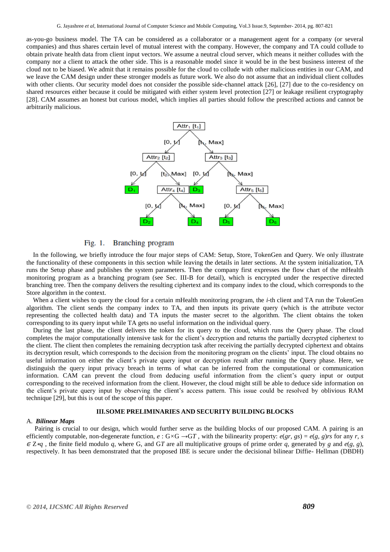as-you-go business model. The TA can be considered as a collaborator or a management agent for a company (or several companies) and thus shares certain level of mutual interest with the company. However, the company and TA could collude to obtain private health data from client input vectors. We assume a neutral cloud server, which means it neither colludes with the company nor a client to attack the other side. This is a reasonable model since it would be in the best business interest of the cloud not to be biased. We admit that it remains possible for the cloud to collude with other malicious entities in our CAM, and we leave the CAM design under these stronger models as future work. We also do not assume that an individual client colludes with other clients. Our security model does not consider the possible side-channel attack [26], [27] due to the co-residency on shared resources either because it could be mitigated with either system level protection [27] or leakage resilient cryptography [28]. CAM assumes an honest but curious model, which implies all parties should follow the prescribed actions and cannot be arbitrarily malicious.



Branching program  $Fig. 1.$ 

 In the following, we briefly introduce the four major steps of CAM: Setup, Store, TokenGen and Query. We only illustrate the functionality of these components in this section while leaving the details in later sections. At the system initialization, TA runs the Setup phase and publishes the system parameters. Then the company first expresses the flow chart of the mHealth monitoring program as a branching program (see Sec. III-B for detail), which is encrypted under the respective directed branching tree. Then the company delivers the resulting ciphertext and its company index to the cloud, which corresponds to the Store algorithm in the context.

When a client wishes to query the cloud for a certain mHealth monitoring program, the *i*-th client and TA run the TokenGen algorithm. The client sends the company index to TA, and then inputs its private query (which is the attribute vector representing the collected health data) and TA inputs the master secret to the algorithm. The client obtains the token corresponding to its query input while TA gets no useful information on the individual query.

 During the last phase, the client delivers the token for its query to the cloud, which runs the Query phase. The cloud completes the major computationally intensive task for the client's decryption and returns the partially decrypted ciphertext to the client. The client then completes the remaining decryption task after receiving the partially decrypted ciphertext and obtains its decryption result, which corresponds to the decision from the monitoring program on the clients' input. The cloud obtains no useful information on either the client's private query input or decryption result after running the Query phase. Here, we distinguish the query input privacy breach in terms of what can be inferred from the computational or communication information. CAM can prevent the cloud from deducing useful information from the client's query input or output corresponding to the received information from the client. However, the cloud might still be able to deduce side information on the client's private query input by observing the client's access pattern. This issue could be resolved by oblivious RAM technique [29], but this is out of the scope of this paper.

## **III.SOME PRELIMINARIES AND SECURITY BUILDING BLOCKS**

#### A. *Bilinear Maps*

Pairing is crucial to our design, which would further serve as the building blocks of our proposed CAM. A pairing is an efficiently computable, non-degenerate function,  $e : G \times G \rightarrow GT$ , with the bilinearity property:  $e(gr, gs) = e(g, g)rs$  for any *r*, *s* <sup>∈</sup> Z∗*q* , the finite field modulo *q*, where G, and G*T* are all multiplicative groups of prime order *q*, generated by *g* and *e*(*g, g*), respectively. It has been demonstrated that the proposed IBE is secure under the decisional bilinear Diffie- Hellman (DBDH)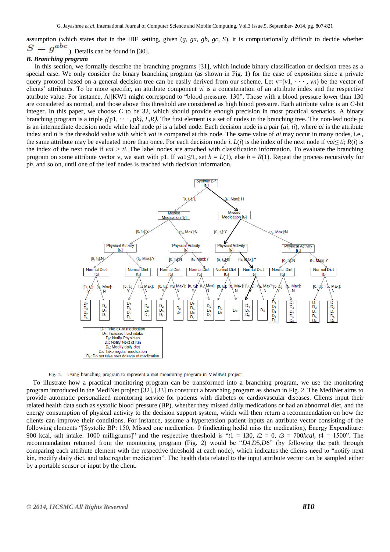assumption (which states that in the IBE setting, given (*g, ga, gb, gc, S*), it is computationally difficult to decide whether  $S = q^{abc}$ ). Details can be found in [30].

## *B. Branching program*

In this section, we formally describe the branching programs [31], which include binary classification or decision trees as a special case. We only consider the binary branching program (as shown in Fig. 1) for the ease of exposition since a private query protocol based on a general decision tree can be easily derived from our scheme. Let  $v=(v1, \dots, vn)$  be the vector of clients' attributes. To be more specific, an attribute component *vi* is a concatenation of an attribute index and the respective attribute value. For instance, A//KW1 might correspond to "blood pressure: 130". Those with a blood pressure lower than 130 are considered as normal, and those above this threshold are considered as high blood pressure. Each attribute value is an *C*-bit integer. In this paper, we choose *C* to be 32, which should provide enough precision in most practical scenarios. A binary branching program is a triple ⟨*{*p1*, · · · ,* p*k}, L,R*⟩. The first element is a set of nodes in the branching tree. The non-leaf node p*i*  is an intermediate decision node while leaf node p*i* is a label node. Each decision node is a pair (*ai, ti*), where *ai* is the attribute index and *ti* is the threshold value with which *vai* is compared at this node. The same value of *ai* may occur in many nodes, i.e., the same attribute may be evaluated more than once. For each decision node *i*,  $L(i)$  is the index of the next node if  $\text{val} \leq t$ ;  $R(i)$  is the index of the next node if *vai*  $> ti$ . The label nodes are attached with classification information. To evaluate the branching program on some attribute vector v, we start with p1. If  $val \leq t$ , set  $h = L(1)$ , else  $h = R(1)$ . Repeat the process recursively for p*h*, and so on, until one of the leaf nodes is reached with decision information.



Fig. 2. Using branching program to represent a real monitoring program in MediNet project

 To illustrate how a practical monitoring program can be transformed into a branching program, we use the monitoring program introduced in the MediNet project [32], [33] to construct a branching program as shown in Fig. 2. The MediNet aims to provide automatic personalized monitoring service for patients with diabetes or cardiovascular diseases. Clients input their related health data such as systolic blood pressure (BP), whether they missed daily medications or had an abnormal diet, and the energy consumption of physical activity to the decision support system, which will then return a recommendation on how the clients can improve their conditions. For instance, assume a hypertension patient inputs an attribute vector consisting of the following elements "[Systolic BP: 150, Missed one medication=0 (indicating hedid miss the medication), Energy Expenditure: 900 kcal, salt intake: 1000 milligrams]" and the respective threshold is " $t_1 = 130$ ,  $t_2 = 0$ ,  $t_3 = 700$ *kcal*,  $t_4 = 1500$ ". The recommendation returned from the monitoring program (Fig. 2) would be "*D4,D5,D6*" (by following the path through comparing each attribute element with the respective threshold at each node), which indicates the clients need to "notify next" kin, modify daily diet, and take regular medication". The health data related to the input attribute vector can be sampled either by a portable sensor or input by the client.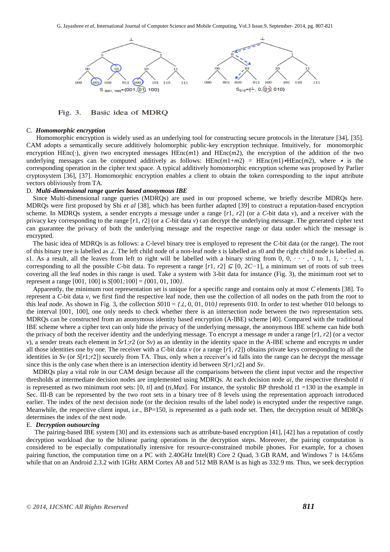

Fig. 3. Basic idea of MDRQ

#### C. *Homomorphic encryption*

Homomorphic encryption is widely used as an underlying tool for constructing secure protocols in the literature [34], [35]. CAM adopts a semantically secure additively holomorphic public-key encryption technique. Intuitively, for monomorphic encryption HEnc( $\cdot$ ), given two encrypted messages HEnc( $m$ 1) and HEnc( $m$ 2), the encryption of the addition of the two underlying messages can be computed additively as follows: HEnc $(m1+m2)$  = HEnc $(m1)$  \*HEnc $(m2)$ , where  $\star$  is the corresponding operation in the cipher text space. A typical additively homomorphic encryption scheme was proposed by Parlier cryptosystem [36], [37]. Homomorphic encryption enables a client to obtain the token corresponding to the input attribute vectors obliviously from TA.

## D. *Multi-dimensional range queries based anonymous IBE*

Since Multi-dimensional range queries (MDRQs) are used in our proposed scheme, we briefly describe MDRQs here. MDRQs were first proposed by Shi *et al* [38], which has been further adapted [39] to construct a reputation-based encryption scheme. In MDRQs system, a sender encrypts a message under a range [*r*1*, r*2] (or a *C*-bit data *v*), and a receiver with the privacy key corresponding to the range [*r*1*, r*2] (or a *C*-bit data *v*) can decrypt the underlying message. The generated cipher text can guarantee the privacy of both the underlying message and the respective range or data under which the message is encrypted.

 The basic idea of MDRQs is as follows: a *C*-level binary tree is employed to represent the *C*-bit data (or the range). The root of this binary tree is labelled as ⊥. The left child node of a non-leaf node *s* is labelled as *s*0 and the right child node is labelled as *s*1. As a result, all the leaves from left to right will be labelled with a binary string from 0,  $0, \cdots, 0$  to 1,  $1, \cdots, 1$ , corresponding to all the possible *C*-bit data. To represent a range  $[r1, r2] \subseteq [0, 2C-1]$ , a minimum set of roots of sub trees covering all the leaf nodes in this range is used. Take a system with 3-bit data for instance (Fig. 3), the minimum root set to represent a range [001*,* 100] is *S*[001*;*100] = *{*001*,* 01*,* 100*}*.

 Apparently, the minimum root representation set is unique for a specific range and contains only at most *C* elements [38]. To represent a *C*-bit data *v*, we first find the respective leaf node, then use the collection of all nodes on the path from the root to this leaf node. As shown in Fig. 3, the collection  $S010 = \{ \perp, 0, 01, 010 \}$  represents 010. In order to test whether 010 belongs to the interval [001*,* 100], one only needs to check whether there is an intersection node between the two representation sets. MDRQs can be constructed from an anonymous identity based encryption (A-IBE) scheme [40]. Compared with the traditional IBE scheme where a cipher text can only hide the privacy of the underlying message, the anonymous IBE scheme can hide both the privacy of both the receiver identity and the underlying message. To encrypt a message *m* under a range [*r*1*, r*2] (or a vector *v*), a sender treats each element in *Sr*1*;r*2 (or *Sv*) as an identity in the identity space in the A-IBE scheme and encrypts *m* under all those identities one by one. The receiver with a *C*-bit data *v* (or a range [*r*1*, r*2]) obtains private keys corresponding to all the identities in *Sv* (or *S*[*r*1*;r*2]) securely from TA. Thus, only when a receiver's id falls into the range can he decrypt the message since this is the only case when there is an intersection identity id between *S*[*r*1*;r*2] and *Sv*.

 MDRQs play a vital role in our CAM design because all the comparisons between the client input vector and the respective thresholds at intermediate decision nodes are implemented using MDRQs. At each decision node *ai*, the respective threshold *ti*  is represented as two minimum root sets: [0*, ti*] and (*ti,Max*]. For instance, the systolic BP threshold *t*1 =130 in the example in Sec. III-B can be represented by the two root sets in a binary tree of 8 levels using the representation approach introduced earlier. The index of the next decision node (or the decision results of the label node) is encrypted under the respective range. Meanwhile, the respective client input, i.e., BP=150, is represented as a path node set. Then, the decryption result of MDRQs determines the index of the next node.

#### E. *Decryption outsourcing*

The pairing-based IBE system [30] and its extensions such as attribute-based encryption [41], [42] has a reputation of costly decryption workload due to the bilinear paring operations in the decryption steps. Moreover, the pairing computation is considered to be especially computationally intensive for resource-constrained mobile phones. For example, for a chosen pairing function, the computation time on a PC with 2.40GHz Intel(R) Core 2 Quad, 3 GB RAM, and Windows 7 is 14*.*65ms while that on an Android 2.3.2 with 1GHz ARM Cortex A8 and 512 MB RAM is as high as 332*.*9 ms. Thus, we seek decryption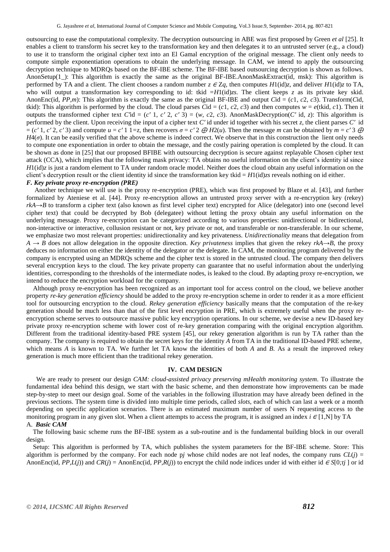outsourcing to ease the computational complexity. The decryption outsourcing in ABE was first proposed by Green *et al* [25]. It enables a client to transform his secret key to the transformation key and then delegates it to an untrusted server (e.g., a cloud) to use it to transform the original cipher text into an El Gamal encryption of the original message. The client only needs to compute simple exponentiation operations to obtain the underlying message. In CAM, we intend to apply the outsourcing decryption technique to MDRQs based on the BF-IBE scheme. The BF-IBE based outsourcing decryption is shown as follows. AnonSetup(1): This algorithm is exactly the same as the original BF-IBE.AnonMaskExtract(id, msk): This algorithm is performed by TA and a client. The client chooses a random number  $z \in Za$ , then computes  $H1(\text{id})z$ , and deliver  $H1(\text{id})z$  to TA, who will output a transformation key corresponding to id: tkid =*H*1(id)*zs*. The client keeps *z* as its private key skid. AnonEnc(id, *PP,m*): This algorithm is exactly the same as the original BF-IBE and output *C*id = (*c*1*, c*2*, c*3). Transform(*Cid*, tkid): This algorithm is performed by the cloud. The cloud parses *C*id = (*c*1, *c*2, *c*3) and then computes  $w = e$ (tkid, *c*1). Then it outputs the transformed cipher text *C'*id = (*c'* 1*, c'* 2*, c'* 3) = (*w, c*2*, c3*). AnonMaskDecryption(*C'* id, *z*): This algorithm is performed by the client. Upon receiving the input of a cipher text *C′* id under id together with his secret *z*, the client parses *C′* id  $=(c' 1, c' 2, c' 3)$  and compute  $u = c' 1$  1=z, then recovers  $\sigma = c' 2 \oplus H2(u)$ . Then the message *m* can be obtained by  $m = c' 3 \oplus$ *H*4(*σ*). It can be easily verified that the above scheme is indeed correct. We observe that in this construction the lient only needs to compute one exponentiation in order to obtain the message, and the costly pairing operation is completed by the cloud. It can be shown as done in [25] that our proposed BFIBE with outsourcing decryption is secure against replayable Chosen cipher text attack (CCA), which implies that the following mask privacy: TA obtains no useful information on the client's identity id since *H*1(id)*z* is just a random element to TA under random oracle model. Neither does the cloud obtain any useful information on the client's decryption result or the client identity id since the transformation key tkid = *H*1(id)*zs* reveals nothing on id either. *F. Key private proxy re-encryption (PRE)*

Another technique we will use is the proxy re-encryption (PRE), which was first proposed by Blaze et al. [43], and further formalized by Ateniese et al. [44]. Proxy re-encryption allows an untrusted proxy server with a re-encryption key (rekey) *rkA→B* to transform a cipher text (also known as first level cipher text) encrypted for Alice (delegator) into one (second level cipher text) that could be decrypted by Bob (delegatee) without letting the proxy obtain any useful information on the underlying message. Proxy re-encryption can be categorized according to various properties: unidirectional or bidirectional, non-interactive or interactive, collusion resistant or not, key private or not, and transferable or non-transferable. In our scheme, we emphasize two most relevant properties: unidirectionality and key privateness. *Unidirectionality* means that delegation from *A → B* does not allow delegation in the opposite direction. *Key privateness* implies that given the rekey *rkA→B*, the proxy deduces no information on either the identity of the delegator or the delegate. In CAM, the monitoring program delivered by the company is encrypted using an MDRQs scheme and the cipher text is stored in the untrusted cloud. The company then delivers several encryption keys to the cloud. The key private property can guarantee that no useful information about the underlying identities, corresponding to the thresholds of the intermediate nodes, is leaked to the cloud. By adapting proxy re-encryption, we intend to reduce the encryption workload for the company.

 Although proxy re-encryption has been recognized as an important tool for access control on the cloud, we believe another property *re-key generation efficiency* should be added to the proxy re-encryption scheme in order to render it as a more efficient tool for outsourcing encryption to the cloud. *Rekey generation efficiency* basically means that the computation of the re-key generation should be much less than that of the first level encryption in PRE, which is extremely useful when the proxy reencryption scheme serves to outsource massive public key encryption operations. In our scheme, we devise a new ID-based key private proxy re-encryption scheme with lower cost of re-key generation comparing with the original encryption algorithm. Different from the traditional identity-based PRE system [45], our rekey generation algorithm is run by TA rather than the company. The company is required to obtain the secret keys for the identity *A* from TA in the traditional ID-based PRE scheme, which means *A* is known to TA. We further let TA know the identities of both *A* and *B*. As a result the improved rekey generation is much more efficient than the traditional rekey generation.

## **IV. CAM DESIGN**

 We are ready to present our design *CAM: cloud-assisted privacy preserving mHealth monitoring system*. To illustrate the fundamental idea behind this design, we start with the basic scheme, and then demonstrate how improvements can be made step-by-step to meet our design goal. Some of the variables in the following illustration may have already been defined in the previous sections. The system time is divided into multiple time periods, called *slots*, each of which can last a week or a month depending on specific application scenarios. There is an estimated maximum number of users N requesting access to the monitoring program in any given slot. When a client attempts to access the program, it is assigned an index  $i \in [1,N]$  by TA A. *Basic CAM*

The following basic scheme runs the BF-IBE system as a sub-routine and is the fundamental building block in our overall design.

 Setup: This algorithm is performed by TA, which publishes the system parameters for the BF-IBE scheme. Store: This algorithm is performed by the company. For each node p*j* whose child nodes are not leaf nodes, the company runs  $CL(i)$ AnonEnc(id,  $PP, L(j)$ ) and  $CR(j) = AnonEnc(id, PP, R(j))$  to encrypt the child node indices under id with either id  $\in S[0, t_j]$  or id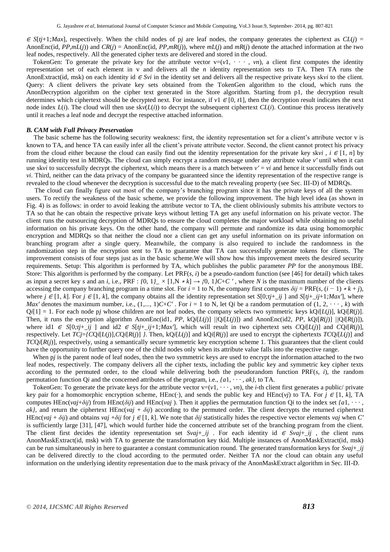$\epsilon$  *S*[ $t$ *j*+1*;Max*], respectively. When the child nodes of p*j* are leaf nodes, the company generates the ciphertext as  $CL(j)$  = AnonEnc(id,  $PP, mL(j)$ ) and  $CR(j) =$  AnonEnc(id,  $PP, mR(j)$ ), where  $mL(j)$  and  $mR(j)$  denote the attached information at the two leaf nodes, respectively. All the generated cipher texts are delivered and stored in the cloud.

TokenGen: To generate the private key for the attribute vector  $v=(v_1, \cdots, v_n)$ , a client first computes the identity representation set of each element in v and delivers all the *n* identity representation sets to TA. Then TA runs the AnonExtract(id, msk) on each identity id  $\epsilon$  *Svi* in the identity set and delivers all the respective private keys sk*vi* to the client. Query: A client delivers the private key sets obtained from the TokenGen algorithm to the cloud, which runs the AnonDecryption algorithm on the cipher text generated in the Store algorithm. Starting from p1, the decryption result determines which ciphertext should be decrypted next. For instance, if  $v1 \in [0, t1]$ , then the decryption result indicates the next node index  $L(i)$ . The cloud will then use  $skv(L(i))$  to decrypt the subsequent ciphertext  $CL(i)$ . Continue this process iteratively until it reaches a leaf node and decrypt the respective attached information.

#### *B. CAM with Full Privacy Preservation*

 The basic scheme has the following security weakness: first, the identity representation set for a client's attribute vector v is known to TA, and hence TA can easily infer all the client's private attribute vector. Second, the client cannot protect his privacy from the cloud either because the cloud can easily find out the identity representation for the private key sk*vi*,  $i \in [1, n]$  by running identity test in MDRQs. The cloud can simply encrypt a random message under any attribute value *v′* until when it can use skvi to successfully decrypt the ciphertext, which means there is a match between  $v' = vi$  and hence it successfully finds out *vi*. Third, neither can the data privacy of the company be guaranteed since the identity representation of the respective range is revealed to the cloud whenever the decryption is successful due to the match revealing property (see Sec. III-D) of MDRQs.

 The cloud can finally figure out most of the company's branching program since it has the private keys of all the system users. To rectify the weakness of the basic scheme, we provide the following improvement. The high level idea (as shown in Fig. 4) is as follows: in order to avoid leaking the attribute vector to TA, the client obliviously submits his attribute vectors to TA so that he can obtain the respective private keys without letting TA get any useful information on his private vector. The client runs the outsourcing decryption of MDRQs to ensure the cloud completes the major workload while obtaining no useful information on his private keys. On the other hand, the company will permute and randomize its data using homomorphic encryption and MDRQs so that neither the cloud nor a client can get any useful information on its private information on branching program after a single query. Meanwhile, the company is also required to include the randomness in the randomization step in the encryption sent to TA to guarantee that TA can successfully generate tokens for clients. The improvement consists of four steps just as in the basic scheme.We will show how this improvement meets the desired security requirements. Setup: This algorithm is performed by TA, which publishes the public parameter *PP* for the anonymous IBE. Store: This algorithm is performed by the company. Let PRF(*s, i*) be a pseudo-random function (see [46] for detail) which takes as input a secret key *s* and an *i*, i.e., PRF :  $\{0, 1\} \times [1, N * k] \rightarrow \{0, 1\}C + C'$ , where *N* is the maximum number of the clients accessing the company branching program in a time slot. For  $i = 1$  to N, the company first computes  $\delta ij = PRF(s, (i - 1) * k + j)$ , where  $j \in [1, k]$ . For  $j \in [1, k]$ , the company obtains all the identity representation set  $S[0; tj + \_ i j]$  and  $S[tj + \_ i j + 1; Max']$ , where *Max'* denotes the maximum number, i.e.,  $(1,..., 1)C+C'$ . For  $i = 1$  to N, let Qi be a random permutation of  $(1, 2, \dots, k)$  with  $Q*i*[1] = 1$ . For each node p*j* whose children are not leaf nodes, the company selects two symmetric keys  $kQ*i*[*L*(*j*)], kQ*i*[*R*(*j*)].$ Then, it runs the encryption algorithm AnonEnc(id1, PP, kQi[L(j)] //Qi[L(j)]) and AnonEnc(id2, PP, kQi[R(j)] //Qi[R(j)]), where id1  $\in$  *S*[0*;tj*+ *ij* ] and id2  $\in$  *S*[*tj*+ *ij*+1*;Max<sup></sup>*], which will result in two ciphertext sets *CQi*[*L*(*j*)] and *CQi*[*R*(*j*)], respectively. Let  $TC = (CQ_i[L(i)], CQ_i[R(i)]$  /. Then,  $kQ_i[L(i)]$  and  $kQ_i[R(i)]$  are used to encrypt the ciphertexts  $TCQ_i[L(i)]$  and *TCQi*[*R*(*j*)], respectively, using a semantically secure symmetric key encryption scheme 1. This guarantees that the client could have the opportunity to further query one of the child nodes only when its attribute value falls into the respective range.

When p<sub>j</sub> is the parent node of leaf nodes, then the two symmetric keys are used to encrypt the information attached to the two leaf nodes, respectively. The company delivers all the cipher texts, including the public key and symmetric key cipher texts according to the permuted order, to the cloud while delivering both the pseudorandom function PRF(*s, i*), the random permutation function Q*i* and the concerned attributes of the program, i.e., *{a*1*, · · · , ak}*, to TA.

TokenGen: To generate the private keys for the attribute vector  $v=(v1, \dots, vn)$ , the *i*-th client first generates a public/ private key pair for a homomorphic encryption scheme, HEnc(·), and sends the public key and HEnc(*vj*) to TA. For  $j \in [1, k]$ , TA computes HEnc( $vai+\delta ii$ ) from HEnc( $\delta ii$ ) and HEnc( $vaj$ ). Then it applies the permutation function Q*i* to the index set  $\{a1, \dots, a\}$  $ak$ }, and return the ciphertext HEnc(*vaj* +  $\delta$ *ij*) according to the permuted order. The client decrypts the returned ciphertext HEnc(*vaj* +  $\delta$ *ij*) and obtains *vaj* + $\delta$ *ij* for *j* ∈ [1, *k*]. We note that  $\delta$ *ij* statistically hides the respective vector elements *vaj* when *C'* is sufficiently large [31], [47], which would further hide the concerned attribute set of the branching program from the client. The client first decides the identity representation set *Svaj*+<sub>*\_ij*</sub>. For each identity id  $\epsilon$  *Svaj*+*\_ij*, the client runs AnonMaskExtract(id*,* msk) with TA to generate the transformation key tkid. Multiple instances of AnonMaskExtract(id*,* msk) can be run simultaneously in here to guarantee a constant communication round. The generated transformation keys for *Svaj*+*\_ij*  can be delivered directly to the cloud according to the permuted order. Neither TA nor the cloud can obtain any useful information on the underlying identity representation due to the mask privacy of the AnonMaskExtract algorithm in Sec. III-D.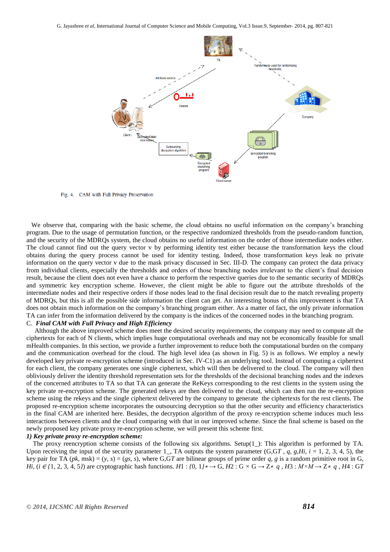

Fig. 4. CAM with Full Privacy Preservation

 We observe that, comparing with the basic scheme, the cloud obtains no useful information on the company's branching program. Due to the usage of permutation function, or the respective randomized thresholds from the pseudo-random function, and the security of the MDRQs system, the cloud obtains no useful information on the order of those intermediate nodes either. The cloud cannot find out the query vector v by performing identity test either because the transformation keys the cloud obtains during the query process cannot be used for identity testing. Indeed, those transformation keys leak no private information on the query vector v due to the mask privacy discussed in Sec. III-D. The company can protect the data privacy from individual clients, especially the thresholds and orders of those branching nodes irrelevant to the client's final decision result, because the client does not even have a chance to perform the respective queries due to the semantic security of MDRQs and symmetric key encryption scheme. However, the client might be able to figure out the attribute thresholds of the intermediate nodes and their respective orders if those nodes lead to the final decision result due to the match revealing property of MDRQs, but this is all the possible side information the client can get. An interesting bonus of this improvement is that TA does not obtain much information on the company's branching program either. As a matter of fact, the only private information TA can infer from the information delivered by the company is the indices of the concerned nodes in the branching program.

## C. *Final CAM with Full Privacy and High Efficiency*

Although the above improved scheme does meet the desired security requirements, the company may need to compute all the ciphertexts for each of N clients, which implies huge computational overheads and may not be economically feasible for small mHealth companies. In this section, we provide a further improvement to reduce both the computational burden on the company and the communication overhead for the cloud. The high level idea (as shown in Fig. 5) is as follows. We employ a newly developed key private re-encryption scheme (introduced in Sec. IV-C1) as an underlying tool. Instead of computing a ciphertext for each client, the company generates one single ciphertext, which will then be delivered to the cloud. The company will then obliviously deliver the identity threshold representation sets for the thresholds of the decisional branching nodes and the indexes of the concerned attributes to TA so that TA can generate the ReKeys corresponding to the rest clients in the system using the key private re-encryption scheme. The generated rekeys are then delivered to the cloud, which can then run the re-encryption scheme using the rekeys and the single ciphertext delivered by the company to generate the ciphertexts for the rest clients. The proposed re-encryption scheme incorporates the outsourcing decryption so that the other security and efficiency characteristics in the final CAM are inherited here. Besides, the decryption algorithm of the proxy re-encryption scheme induces much less interactions between clients and the cloud comparing with that in our improved scheme. Since the final scheme is based on the newly proposed key private proxy re-encryption scheme, we will present this scheme first.

#### *1) Key private proxy re-encryption scheme:*

 The proxy reencryption scheme consists of the following six algorithms. Setup(1*\_*): This algorithm is performed by TA. Upon receiving the input of the security parameter 1*\_*, TA outputs the system parameter (G*,*G*T , q, g,Hi, i* = 1*,* 2*,* 3*,* 4*,* 5), the key pair for TA ( $pk$ , msk) = ( $y$ ,  $s$ ) = ( $gs$ ,  $s$ ), where G,GT are bilinear groups of prime order  $q$ ,  $g$  is a random primitive root in G, Hi, (i  $\in$  {1, 2, 3, 4, 5}) are cryptographic hash functions. H1: {0, 1}\*  $\rightarrow$  G, H2: G  $\times$  G  $\rightarrow$  Z\* q, H3: M $\times$ M $\rightarrow$  Z\* q, H4: GT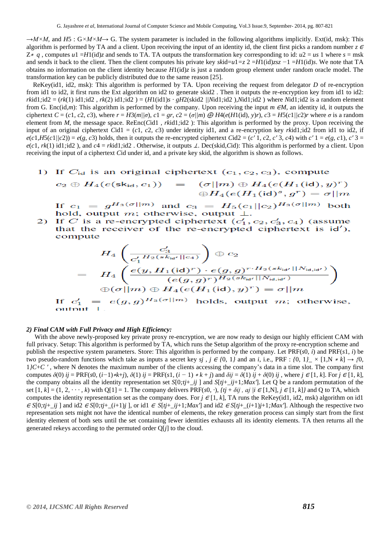*→M×M*, and *H*5 : G*×M×M→* G. The system parameter is included in the following algorithms implicitly. Ext(id*,* msk): This algorithm is performed by TA and a client. Upon receiving the input of an identity id, the client first picks a random number *z* <sup>∈</sup> Z<sup>∗</sup> *q* , computes *u*1 =*H*1(id)*z* and sends to TA. TA outputs the transformation key corresponding to id: *u*2 = *us* 1 where *s* = msk and sends it back to the client. Then the client computes his private key  $skid=u1=z2=H1(id)zsz-1=H1(id)s$ . We note that TA obtains no information on the client identity because *H*1(id)*z* is just a random group element under random oracle model. The transformation key can be publicly distributed due to the same reason [25].

 ReKey(id1*,* id2*,* msk): This algorithm is performed by TA. Upon receiving the request from delegator *D* of re-encryption from id1 to id2, it first runs the Ext algorithm on id2 to generate skid2 . Then it outputs the re-encryption key from id1 to id2:  $rkid1$ ; $id2 = (rk(1) id1$ ; $id2, rk(2) id1$ ; $id2) = (H1(id1)s \cdot gH2(kid2)/Nid1$ ; $id2)$ , $Nid1$ ; $id2)$  where  $Nid1$ ; $id2$  is a random element from G. Enc(id*,m*): This algorithm is performed by the company. Upon receiving the input *m* ∈*M*, an identity id, it outputs the ciphertext  $C = (c1, c2, c3)$ , where  $r = H3(m/|\sigma)$ ,  $c1 = gr$ ,  $c2 = (\sigma/|m) \bigoplus H4(e(H(i)d), y)r$ ,  $c3 = H5(c1/|c2)r$  where  $\sigma$  is a random element from *M*, the message space. ReEnc(*C*id1, *rk*id1*;*id2): This algorithm is performed by the proxy. Upon receiving the input of an original ciphertext *C*id1 = (*c*1*, c*2*, c*3) under identity id1, and a re-encryption key *rk*id1*;*id2 from id1 to id2, if  $e(c1, H5(c1)/(c2)) = e(g, c3)$  holds, then it outputs the re-encrypted ciphertext Cid2 = (c'1, c2, c'3, c4) with c'1 = e(g, c1), c'3 =  $e(c1, rk(1)$  id1*;*id2), and  $c4 = rk \cdot id1$ *;*id2. Otherwise, it outputs  $\perp$ . Dec(skid, Cid): This algorithm is performed by a client. Upon receiving the input of a ciphertext *C*id under id, and a private key skid, the algorithm is shown as follows.

## 1) If  $C_{id}$  is an original ciphertext  $(c_1, c_2, c_3)$ , compute

 $c_2 \oplus H_4(e(\mathsf{sk}_{\mathsf{id}}, c_1)) = (\sigma || m) \oplus H_4(e(H_1(\mathsf{id}), y)^r)$  $\oplus H_4(e(H_1(\text{id})^s, g^r) = \sigma || m$ 

If  $c_1 = g^{H_3(\sigma||m)}$  and  $c_3 = H_5(c_1||c_2)^{H_3(\sigma||m)}$  both hold, output *m*; otherwise, output *⊥*.

 $\overline{2}$ If C is a re-encrypted ciphertext  $(c'_1, c_2, c'_3, c_4)$  (assume that the receiver of the re-encrypted ciphertext is id'), compute

$$
H_4\left(\frac{c_3'}{c_1'H_2(sk_{\mathsf{id}'}||c_4)}\right) \oplus c_2
$$
  
= 
$$
H_4\left(\frac{e(y,H_1(\mathsf{id})^r) \cdot e(g,g)^{r \cdot H_2(sk_{\mathsf{id}'}||N_{\mathsf{id},\mathsf{id}'})}}{(e(g,g)^r)^{H_2(sk_{\mathsf{id}'}||N_{\mathsf{id},\mathsf{id}'})}}\right)
$$
  
If  $c_1' = e(g,g)^{H_3(\sigma||m)}$  holds, output  $m$ ; otherwise  
output  $\perp$ .

#### *2) Final CAM with Full Privacy and High Efficiency:*

 With the above newly-proposed key private proxy re-encryption, we are now ready to design our highly efficient CAM with full privacy. Setup: This algorithm is performed by TA, which runs the Setup algorithm of the proxy re-encryption scheme and publish the respective system parameters. Store: This algorithm is performed by the company. Let PRF(*s*0*, i*) and PRF(*s*1*, i*) be two pseudo-random functions which take as inputs a secret key *sj*,  $j \in \{0, 1\}$  and an *i*, i.e., PRF :  $\{0, 1\} \times [1, N * k] \rightarrow \{0, 1\}$ 1*}C*+*C ′* , where N denotes the maximum number of the clients accessing the company's data in a time slot. The company first computes  $\delta(0)$  ij = PRF(s0, (i-1)\*k+j),  $\delta(1)$  ij = PRF(s1, (i-1)\*k+j) and  $\delta ij = \delta(1)$  ij +  $\delta(0)$  ij, where  $j \in [1, k]$ . For  $j \in [1, k]$ , the company obtains all the identity representation set *S*[0*;tj*+*\_ij* ] and *S*[*tj*+*\_ij*+1*;Max′*]. Let Q be a random permutation of the set  $[1, k] = (1, 2, \dots, k)$  with  $Q[1] = 1$ . The company delivers PRF(*s*0*, ·*),  $\{t\} + \delta t\}$ , aj  $\{t \in [1, N], j \in [1, k]\}$  and Q to TA, which computes the identity representation set as the company does. For  $j \in [1, k]$ , TA runs the ReKey(id1, id2, msk) algorithm on id1  $\epsilon S[0, t]$  ii and id2  $\epsilon S[0, t]$  ii 1) and id2  $\epsilon S[t]$  iii 1,  $Max \text{ and } id2 \epsilon S[t]$  iii 1,  $Max \text{ and } id2 \epsilon S[t]$  iii 1,  $Max \text{ and } id2 \epsilon S[t]$ representation sets might not have the identical number of elements, the rekey generation process can simply start from the first identity element of both sets until the set containing fewer identities exhausts all its identity elements. TA then returns all the generated rekeys according to the permuted order Q[*j*] to the cloud.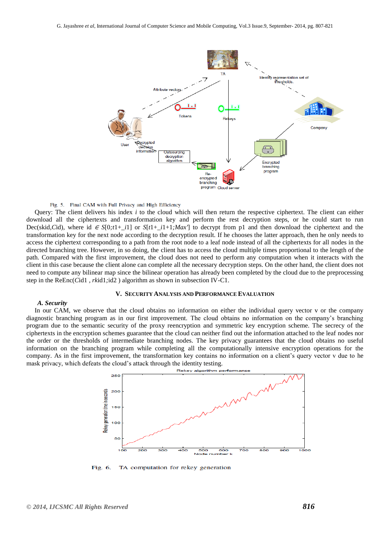

#### Fig. 5. Final CAM with Full Privacy and High Efficiency

Query: The client delivers his index *i* to the cloud which will then return the respective ciphertext. The client can either download all the ciphertexts and transformation key and perform the rest decryption steps, or he could start to run Dec(skid, Cid), where id  $\epsilon$  *S*[0*;t*1+ *i*1] or *S*[*t*1+ *i*1+1*;Max*<sup>*n*</sup>] to decrypt from p1 and then download the ciphertext and the transformation key for the next node according to the decryption result. If he chooses the latter approach, then he only needs to access the ciphertext corresponding to a path from the root node to a leaf node instead of all the ciphertexts for all nodes in the directed branching tree. However, in so doing, the client has to access the cloud multiple times proportional to the length of the path. Compared with the first improvement, the cloud does not need to perform any computation when it interacts with the client in this case because the client alone can complete all the necessary decryption steps. On the other hand, the client does not need to compute any bilinear map since the bilinear operation has already been completed by the cloud due to the preprocessing step in the ReEnc(*C*id1 *, rk*id1*;*id2 ) algorithm as shown in subsection IV-C1.

#### **V. SECURITY ANALYSIS AND PERFORMANCE EVALUATION**

#### *A. Security*

 In our CAM, we observe that the cloud obtains no information on either the individual query vector v or the company diagnostic branching program as in our first improvement. The cloud obtains no information on the company's branching program due to the semantic security of the proxy reencryption and symmetric key encryption scheme. The secrecy of the ciphertexts in the encryption schemes guarantee that the cloud can neither find out the information attached to the leaf nodes nor the order or the thresholds of intermediate branching nodes. The key privacy guarantees that the cloud obtains no useful information on the branching program while completing all the computationally intensive encryption operations for the company. As in the first improvement, the transformation key contains no information on a client's query vector v due to he mask privacy, which defeats the cloud's attack through the identity testing.



Fig. 6. TA computation for rekey generation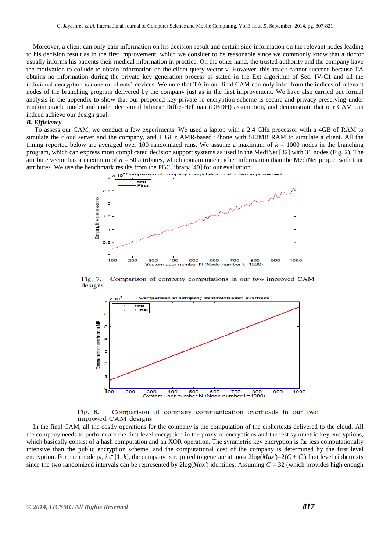Moreover, a client can only gain information on his decision result and certain side information on the relevant nodes leading to his decision result as in the first improvement, which we consider to be reasonable since we commonly know that a doctor usually informs his patients their medical information in practice. On the other hand, the trusted authority and the company have the motivation to collude to obtain information on the client query vector v. However, this attack cannot succeed because TA obtains no information during the private key generation process as stated in the Ext algorithm of Sec. IV-C1 and all the individual decryption is done on clients' devices. We note that TA in our final CAM can only infer from the indices of relevant nodes of the branching program delivered by the company just as in the first improvement. We have also carried out formal analysis in the appendix to show that our proposed key private re-encryption scheme is secure and privacy-preserving under random oracle model and under decisional bilinear Diffie-Hellman (DBDH) assumption, and demonstrate that our CAM can indeed achieve our design goal.

#### *B. Efficiency*

 To assess our CAM, we conduct a few experiments. We used a laptop with a 2.4 GHz processor with a 4GB of RAM to simulate the cloud server and the company, and 1 GHz AMR-based iPhone with 512MB RAM to simulate a client. All the timing reported below are averaged over 100 randomized runs. We assume a maximum of  $k = 1000$  nodes in the branching program, which can express most complicated decision support systems as used in the MediNet [32] with 31 nodes (Fig. 2). The attribute vector has a maximum of  $n = 50$  attributes, which contain much richer information than the MediNet project with four attributes. We use the benchmark results from the PBC library [49] for our evaluation.



Fig. 7. Comparison of company computations in our two improved CAM designs



Comparison of company communication overheads in our two Fig. 8. improved CAM designs

 In the final CAM, all the costly operations for the company is the computation of the ciphertexts delivered to the cloud. All the company needs to perform are the first level encryption in the proxy re-encryptions and the rest symmetric key encryptions, which basically consist of a hash computation and an XOR operation. The symmetric key encryption is far less computationally intensive than the public encryption scheme, and the computational cost of the company is determined by the first level encryption. For each node p*i*,  $i \in [1, k]$ , the company is required to generate at most  $2\log(Max') = 2(C + C')$  first level ciphertexts since the two randomized intervals can be represented by 2log(*Max′*) identities. Assuming *C* = 32 (which provides high enough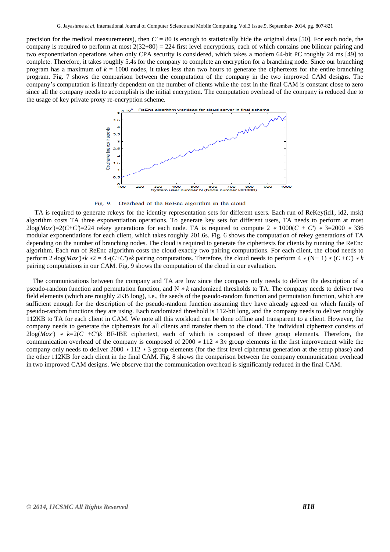precision for the medical measurements), then  $C' = 80$  is enough to statistically hide the original data [50]. For each node, the company is required to perform at most  $2(32+80) = 224$  first level encryptions, each of which contains one bilinear pairing and two exponentiation operations when only CPA security is considered, which takes a modern 64-bit PC roughly 24 ms [49] to complete. Therefore, it takes roughly 5.4s for the company to complete an encryption for a branching node. Since our branching program has a maximum of  $k = 1000$  nodes, it takes less than two hours to generate the ciphertexts for the entire branching program. Fig. 7 shows the comparison between the computation of the company in the two improved CAM designs. The company's computation is linearly dependent on the number of clients while the cost in the final CAM is constant close to zero since all the company needs to accomplish is the initial encryption. The computation overhead of the company is reduced due to the usage of key private proxy re-encryption scheme.



Fig. 9. Overhead of the ReEnc algorithm in the cloud

 TA is required to generate rekeys for the identity representation sets for different users. Each run of ReKey(id1*,* id2*,* msk) algorithm costs TA three exponentiation operations. To generate key sets for different users, TA needs to perform at most  $2\log(Max')=2(C+C')=224$  rekey generations for each node. TA is required to compute  $2 * 1000(C+C) * 3=2000 * 336$ modular exponentiations for each client, which takes roughly 201.6s. Fig. 6 shows the computation of rekey generations of TA depending on the number of branching nodes. The cloud is required to generate the ciphertexts for clients by running the ReEnc algorithm. Each run of ReEnc algorithm costs the cloud exactly two pairing computations. For each client, the cloud needs to perform  $2 * log(Max) * k * 2 = 4 * (C+C) * k$  pairing computations. Therefore, the cloud needs to perform  $4 * (N-1) * (C+C') * k$ pairing computations in our CAM. Fig. 9 shows the computation of the cloud in our evaluation.

 The communications between the company and TA are low since the company only needs to deliver the description of a pseudo-random function and permutation function, and N <sup>∗</sup> *k* randomized thresholds to TA. The company needs to deliver two field elements (which are roughly 2KB long), i.e., the seeds of the pseudo-random function and permutation function, which are sufficient enough for the description of the pseudo-random function assuming they have already agreed on which family of pseudo-random functions they are using. Each randomized threshold is 112-bit long, and the company needs to deliver roughly 112KB to TA for each client in CAM. We note all this workload can be done offline and transparent to a client. However, the company needs to generate the ciphertexts for all clients and transfer them to the cloud. The individual ciphertext consists of 2log(*Max′*) <sup>∗</sup> *k*=2(*C* +*C′*)*k* BF-IBE ciphertext, each of which is composed of three group elements. Therefore, the communication overhead of the company is composed of 2000 <sup>∗</sup> 112 <sup>∗</sup> 3*n* group elements in the first improvement while the company only needs to deliver 2000 <sup>∗</sup> 112 <sup>∗</sup> 3 group elements (for the first level ciphertext generation at the setup phase) and the other 112KB for each client in the final CAM. Fig. 8 shows the comparison between the company communication overhead in two improved CAM designs. We observe that the communication overhead is significantly reduced in the final CAM.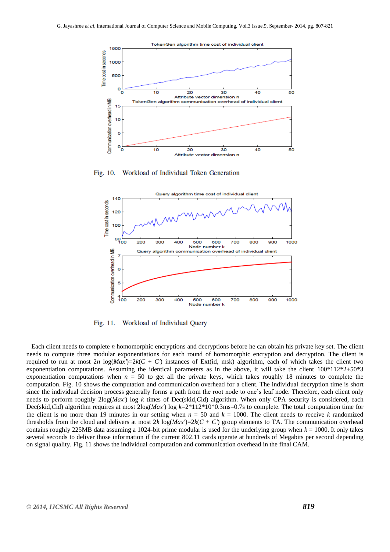

Workload of Individual Token Generation Fig. 10.



Workload of Individual Query Fig. 11.

 Each client needs to complete *n* homomorphic encryptions and decryptions before he can obtain his private key set. The client needs to compute three modular exponentiations for each round of homomorphic encryption and decryption. The client is required to run at most  $2n \log(Max') = 2k(C + C')$  instances of Ext(id, msk) algorithm, each of which takes the client two exponentiation computations. Assuming the identical parameters as in the above, it will take the client  $100*112*2+50*3$ exponentiation computations when  $n = 50$  to get all the private keys, which takes roughly 18 minutes to complete the computation. Fig. 10 shows the computation and communication overhead for a client. The individual decryption time is short since the individual decision process generally forms a path from the root node to one's leaf node. Therefore, each client only needs to perform roughly 2log(*Max′*) log *k* times of Dec(skid*,C*id) algorithm. When only CPA security is considered, each Dec(skid*,C*id) algorithm requires at most 2log(*Max′*) log *k*=2\*112\*10\*0.3ms=0.7s to complete. The total computation time for the client is no more than 19 minutes in our setting when  $n = 50$  and  $k = 1000$ . The client needs to receive k randomized thresholds from the cloud and delivers at most  $2k \log(Max') = 2k(C + C')$  group elements to TA. The communication overhead contains roughly 225MB data assuming a 1024-bit prime modular is used for the underlying group when  $k = 1000$ . It only takes several seconds to deliver those information if the current 802.11 cards operate at hundreds of Megabits per second depending on signal quality. Fig. 11 shows the individual computation and communication overhead in the final CAM.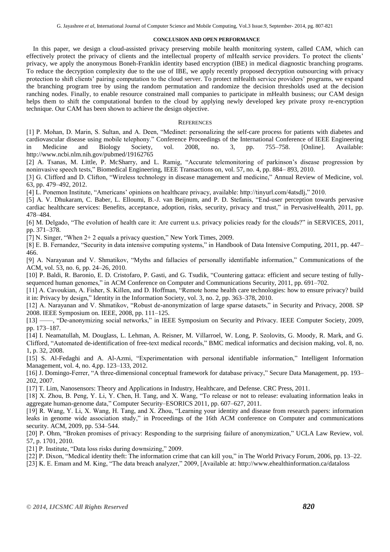#### **CONCLUSION AND OPEN PERFORMANCE**

 In this paper, we design a cloud-assisted privacy preserving mobile health monitoring system, called CAM, which can effectively protect the privacy of clients and the intellectual property of mHealth service providers. To protect the clients' privacy, we apply the anonymous Boneh-Franklin identity based encryption (IBE) in medical diagnostic branching programs. To reduce the decryption complexity due to the use of IBE, we apply recently proposed decryption outsourcing with privacy protection to shift clients' pairing computation to the cloud server. To protect mHealth service providers' programs, we expand the branching program tree by using the random permutation and randomize the decision thresholds used at the decision ranching nodes. Finally, to enable resource constrained mall companies to participate in mHealth business; our CAM design helps them to shift the computational burden to the cloud by applying newly developed key private proxy re-encryption technique. Our CAM has been shown to achieve the design objective.

#### **REFERENCES**

[1] P. Mohan, D. Marin, S. Sultan, and A. Deen, "Medinet: personalizing the self-care process for patients with diabetes and cardiovascular disease using mobile telephony." Conference Proceedings of the International Conference of IEEE Engineering in Medicine and Biology Society, vol. 2008, no. 3, pp. 755–758. [Online]. Available: http://www.ncbi.nlm.nih.gov/pubmed/19162765

[2] A. Tsanas, M. Little, P. McSharry, and L. Ramig, "Accurate telemonitoring of parkinson's disease progression by noninvasive speech tests," Biomedical Engineering, IEEE Transactions on, vol. 57, no. 4, pp. 884– 893, 2010.

[3] G. Clifford and D. Clifton, "Wireless technology in disease management and medicine," Annual Review of Medicine, vol. 63, pp. 479–492, 2012.

[4] L. Ponemon Institute, "Americans' opinions on healthcare privacy, available: http://tinyurl.com/4atsdlj," 2010.

[5] A. V. Dhukaram, C. Baber, L. Elloumi, B.-J. van Beijnum, and P. D. Stefanis, "End-user perception towards pervasive cardiac healthcare services: Benefits, acceptance, adoption, risks, security, privacy and trust," in PervasiveHealth, 2011, pp. 478–484.

[6] M. Delgado, "The evolution of health care it: Are current u.s. privacy policies ready for the clouds?" in SERVICES, 2011, pp. 371–378.

[7] N. Singer, "When  $2+2$  equals a privacy question," New York Times, 2009.

[8] E. B. Fernandez, "Security in data intensive computing systems," in Handbook of Data Intensive Computing, 2011, pp. 447– 466.

[9] A. Narayanan and V. Shmatikov, "Myths and fallacies of personally identifiable information," Communications of the ACM, vol. 53, no. 6, pp. 24–26, 2010.

[10] P. Baldi, R. Baronio, E. D. Cristofaro, P. Gasti, and G. Tsudik, "Countering gattaca: efficient and secure testing of fullysequenced human genomes," in ACM Conference on Computer and Communications Security, 2011, pp. 691–702.

[11] A. Cavoukian, A. Fisher, S. Killen, and D. Hoffman, "Remote home health care technologies: how to ensure privacy? build it in: Privacy by design," Identity in the Information Society, vol. 3, no. 2, pp. 363–378, 2010.

[12] A. Narayanan and V. Shmatikov, "Robust de-anonymization of large sparse datasets," in Security and Privacy, 2008. SP 2008. IEEE Symposium on. IEEE, 2008, pp. 111–125.

[13] ——, "De-anonymizing social networks," in IEEE Symposium on Security and Privacy. IEEE Computer Society, 2009, pp. 173–187.

[14] I. Neamatullah, M. Douglass, L. Lehman, A. Reisner, M. Villarroel, W. Long, P. Szolovits, G. Moody, R. Mark, and G. Clifford, "Automated de-identification of free-text medical records," BMC medical informatics and decision making, vol. 8, no. 1, p. 32, 2008.

[15] S. Al-Fedaghi and A. Al-Azmi, "Experimentation with personal identifiable information," Intelligent Information Management, vol. 4, no. 4,pp. 123–133, 2012.

[16] J. Domingo-Ferrer, "A three-dimensional conceptual framework for database privacy," Secure Data Management, pp. 193– 202, 2007.

[17] T. Lim, Nanosensors: Theory and Applications in Industry, Healthcare, and Defense. CRC Press, 2011.

[18] X. Zhou, B. Peng, Y. Li, Y. Chen, H. Tang, and X. Wang, "To release or not to release: evaluating information leaks in aggregate human-genome data," Computer Security–ESORICS 2011, pp. 607–627, 2011.

[19] R. Wang, Y. Li, X. Wang, H. Tang, and X. Zhou, "Learning your identity and disease from research papers: information leaks in genome wide association study," in Proceedings of the 16th ACM conference on Computer and communications security. ACM, 2009, pp. 534–544.

[20] P. Ohm, "Broken promises of privacy: Responding to the surprising failure of anonymization," UCLA Law Review, vol. 57, p. 1701, 2010.

[21] P. Institute, "Data loss risks during downsizing," 2009.

[22] P. Dixon, "Medical identity theft: The information crime that can kill you," in The World Privacy Forum, 2006, pp. 13–22.

[23] K. E. Emam and M. King, "The data breach analyzer," 2009, [Available at: http://www.ehealthinformation.ca/dataloss